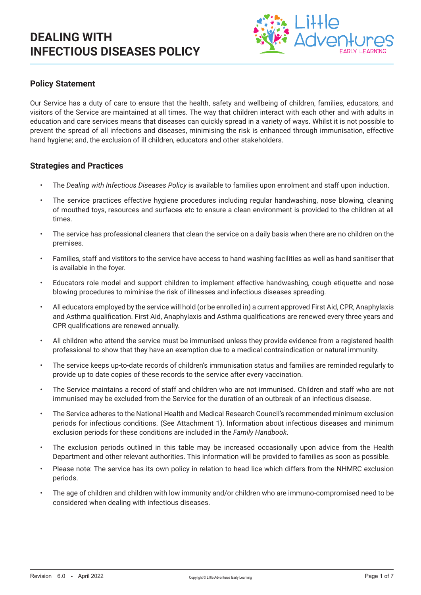

### **Policy Statement**

Our Service has a duty of care to ensure that the health, safety and wellbeing of children, families, educators, and visitors of the Service are maintained at all times. The way that children interact with each other and with adults in education and care services means that diseases can quickly spread in a variety of ways. Whilst it is not possible to prevent the spread of all infections and diseases, minimising the risk is enhanced through immunisation, effective hand hygiene; and, the exclusion of ill children, educators and other stakeholders.

#### **Strategies and Practices**

- The *Dealing with Infectious Diseases Policy* is available to families upon enrolment and staff upon induction.
- The service practices effective hygiene procedures including regular handwashing, nose blowing, cleaning of mouthed toys, resources and surfaces etc to ensure a clean environment is provided to the children at all times.
- The service has professional cleaners that clean the service on a daily basis when there are no children on the premises.
- Families, staff and vistitors to the service have access to hand washing facilities as well as hand sanitiser that is available in the foyer.
- Educators role model and support children to implement effective handwashing, cough etiquette and nose blowing procedures to miminise the risk of illnesses and infectious diseases spreading.
- All educators employed by the service will hold (or be enrolled in) a current approved First Aid, CPR, Anaphylaxis and Asthma qualification. First Aid, Anaphylaxis and Asthma qualifications are renewed every three years and CPR qualifications are renewed annually.
- All children who attend the service must be immunised unless they provide evidence from a registered health professional to show that they have an exemption due to a medical contraindication or natural immunity.
- The service keeps up-to-date records of children's immunisation status and families are reminded regularly to provide up to date copies of these records to the service after every vaccination.
- The Service maintains a record of staff and children who are not immunised. Children and staff who are not immunised may be excluded from the Service for the duration of an outbreak of an infectious disease.
- The Service adheres to the National Health and Medical Research Council's recommended minimum exclusion periods for infectious conditions. (See Attachment 1). Information about infectious diseases and minimum exclusion periods for these conditions are included in the *Family Handbook*.
- The exclusion periods outlined in this table may be increased occasionally upon advice from the Health Department and other relevant authorities. This information will be provided to families as soon as possible.
- Please note: The service has its own policy in relation to head lice which differs from the NHMRC exclusion periods.
- The age of children and children with low immunity and/or children who are immuno-compromised need to be considered when dealing with infectious diseases.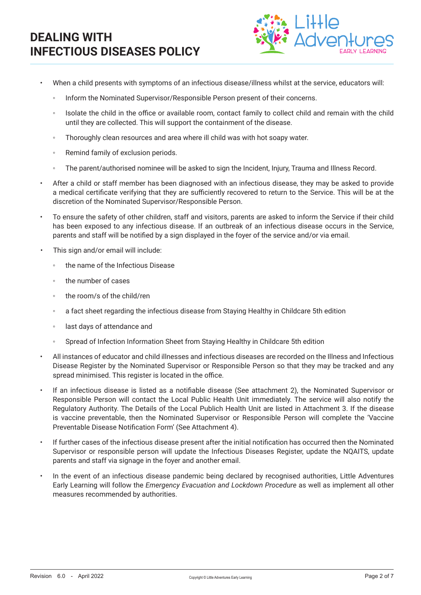

- When a child presents with symptoms of an infectious disease/illness whilst at the service, educators will:
	- Inform the Nominated Supervisor/Responsible Person present of their concerns.
	- Isolate the child in the office or available room, contact family to collect child and remain with the child until they are collected. This will support the containment of the disease.
	- Thoroughly clean resources and area where ill child was with hot soapy water.
	- Remind family of exclusion periods.
	- The parent/authorised nominee will be asked to sign the Incident, Injury, Trauma and Illness Record.
- After a child or staff member has been diagnosed with an infectious disease, they may be asked to provide a medical certificate verifying that they are sufficiently recovered to return to the Service. This will be at the discretion of the Nominated Supervisor/Responsible Person.
- To ensure the safety of other children, staff and visitors, parents are asked to inform the Service if their child has been exposed to any infectious disease. If an outbreak of an infectious disease occurs in the Service, parents and staff will be notified by a sign displayed in the foyer of the service and/or via email.
- This sign and/or email will include:
	- the name of the Infectious Disease
	- the number of cases
	- the room/s of the child/ren
	- a fact sheet regarding the infectious disease from Staying Healthy in Childcare 5th edition
	- last days of attendance and
	- Spread of Infection Information Sheet from Staving Healthy in Childcare 5th edition
- All instances of educator and child illnesses and infectious diseases are recorded on the Illness and Infectious Disease Register by the Nominated Supervisor or Responsible Person so that they may be tracked and any spread minimised. This register is located in the office.
- If an infectious disease is listed as a notifiable disease (See attachment 2), the Nominated Supervisor or Responsible Person will contact the Local Public Health Unit immediately. The service will also notify the Regulatory Authority. The Details of the Local Publich Health Unit are listed in Attachment 3. If the disease is vaccine preventable, then the Nominated Supervisor or Responsible Person will complete the 'Vaccine Preventable Disease Notification Form' (See Attachment 4).
- If further cases of the infectious disease present after the initial notification has occurred then the Nominated Supervisor or responsible person will update the Infectious Diseases Register, update the NQAITS, update parents and staff via signage in the foyer and another email.
- In the event of an infectious disease pandemic being declared by recognised authorities, Little Adventures Early Learning will follow the *Emergency Evacuation and Lockdown Procedure* as well as implement all other measures recommended by authorities.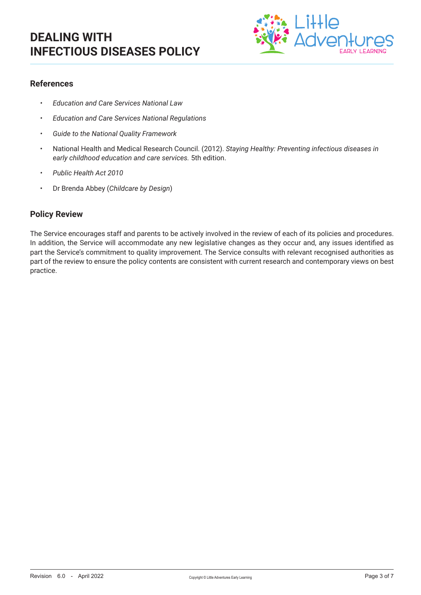

### **References**

- *• Education and Care Services National Law*
- *• Education and Care Services National Regulations*
- *• Guide to the National Quality Framework*
- National Health and Medical Research Council. (2012). *Staying Healthy: Preventing infectious diseases in early childhood education and care services.* 5th edition.
- *• Public Health Act 2010*
- Dr Brenda Abbey (*Childcare by Design*)

#### **Policy Review**

The Service encourages staff and parents to be actively involved in the review of each of its policies and procedures. In addition, the Service will accommodate any new legislative changes as they occur and, any issues identified as part the Service's commitment to quality improvement. The Service consults with relevant recognised authorities as part of the review to ensure the policy contents are consistent with current research and contemporary views on best practice.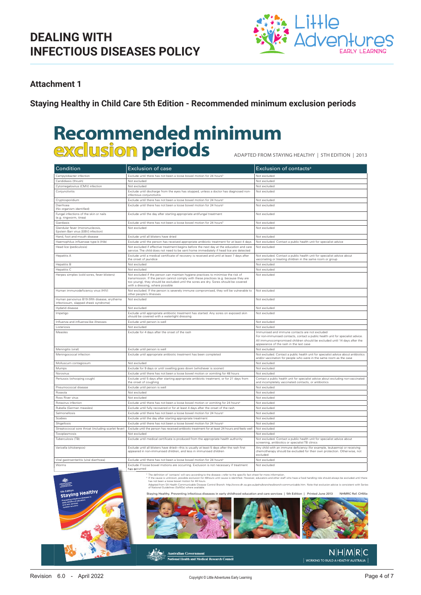

### **Attachment 1**

**Staying Healthy in Child Care 5th Edition - Recommended minimum exclusion periods**

# **Recommended minimum exclusion periods**

ADAPTED FROM sTAying hEAlThy | 5Th EDiTiOn | 2013

| Condition                                                                             | <b>Exclusion of case</b>                                                                                                                                                                                                                                                                              | Exclusion of contacts <sup>a</sup>                                                                                                                                                                                                                        |
|---------------------------------------------------------------------------------------|-------------------------------------------------------------------------------------------------------------------------------------------------------------------------------------------------------------------------------------------------------------------------------------------------------|-----------------------------------------------------------------------------------------------------------------------------------------------------------------------------------------------------------------------------------------------------------|
| Campylobacter infection                                                               | Exclude until there has not been a loose bowel motion for 24 hours <sup>t</sup>                                                                                                                                                                                                                       | Not excluded                                                                                                                                                                                                                                              |
| Candidiasis (thrush)                                                                  | Not excluded                                                                                                                                                                                                                                                                                          | Not excluded                                                                                                                                                                                                                                              |
| Cytomegalovirus (CMV) infection                                                       | Not excluded                                                                                                                                                                                                                                                                                          | Not excluded                                                                                                                                                                                                                                              |
| Conjunctivitis                                                                        | Exclude until discharge from the eyes has stopped, unless a doctor has diagnosed non-<br>infectious conjunctivitis                                                                                                                                                                                    | Not excluded                                                                                                                                                                                                                                              |
| Cryptosporidium                                                                       | Exclude until there has not been a loose bowel motion for 24 hours <sup>b</sup>                                                                                                                                                                                                                       | Not excluded                                                                                                                                                                                                                                              |
| Diarrhoea<br>(No organism identified)                                                 | Exclude until there has not been a loose bowel motion for 24 hours <sup>b</sup>                                                                                                                                                                                                                       | Not excluded                                                                                                                                                                                                                                              |
| Fungal infections of the skin or nails<br>(e.g. ringworm, tinea)                      | Exclude until the day after starting appropriate antifungal treatment                                                                                                                                                                                                                                 | Not excluded                                                                                                                                                                                                                                              |
| Giardiasis                                                                            | Exclude until there has not been a loose bowel motion for 24 hours <sup>b</sup>                                                                                                                                                                                                                       | Not excluded                                                                                                                                                                                                                                              |
| Glandular fever (mononucleosis,<br>Epstein Barr virus IEBVI infection)                | Not excluded                                                                                                                                                                                                                                                                                          | Not excluded                                                                                                                                                                                                                                              |
| Hand, foot and mouth disease                                                          | Exclude until all blisters have dried                                                                                                                                                                                                                                                                 | Not excluded                                                                                                                                                                                                                                              |
| Haemophilus influenzae type b (Hib)                                                   | Exclude until the person has received appropriate antibiotic treatment for at least 4 days                                                                                                                                                                                                            | Not excluded. Contact a public health unit for specialist advice                                                                                                                                                                                          |
| Head lice (pediculosis)                                                               | Not excluded if effective treatment begins before the next day at the education and care<br>service. The child does not need to be sent home immediately if head lice are detected                                                                                                                    | Not excluded                                                                                                                                                                                                                                              |
| <b>Hepatitis A</b>                                                                    | Exclude until a medical certificate of recovery is received and until at least 7 days after<br>the onset of jaundice                                                                                                                                                                                  | Not excluded. Contact a public health unit for specialist advice about<br>vaccinating or treating children in the same room or group                                                                                                                      |
| Hepatitis B                                                                           | Not excluded                                                                                                                                                                                                                                                                                          | Not excluded                                                                                                                                                                                                                                              |
| Hepatitis C                                                                           | Not excluded                                                                                                                                                                                                                                                                                          | Not excluded                                                                                                                                                                                                                                              |
| Herpes simplex (cold sores, fever blisters)                                           | Not excluded if the person can maintain hygiene practices to minimise the risk of<br>transmission. If the person cannot comply with these practices (e.g. because they are<br>too young), they should be excluded until the sores are dry. Sores should be covered<br>with a dressing, where possible | Not excluded                                                                                                                                                                                                                                              |
| Human immunodeficiency virus (HIV)                                                    | Not excluded. If the person is severely immune compromised, they will be vulnerable to<br>other people's illnesses                                                                                                                                                                                    | Not excluded                                                                                                                                                                                                                                              |
| Human parvovirus B19 (fifth disease, erythema<br>infectiosum, slapped cheek syndrome) | Not excluded                                                                                                                                                                                                                                                                                          | Not excluded                                                                                                                                                                                                                                              |
| Hydatid disease                                                                       | Not excluded                                                                                                                                                                                                                                                                                          | Not excluded                                                                                                                                                                                                                                              |
| Impetigo                                                                              | Exclude until appropriate antibiotic treatment has started. Any sores on exposed skin<br>should be covered with a watertight dressing                                                                                                                                                                 | Not excluded                                                                                                                                                                                                                                              |
| Influenza and influenza-like illnesses                                                | Exclude until person is well                                                                                                                                                                                                                                                                          | Not excluded                                                                                                                                                                                                                                              |
| Listeriosis                                                                           | Not excluded                                                                                                                                                                                                                                                                                          | Not excluded                                                                                                                                                                                                                                              |
| Measles                                                                               | Exclude for 4 days after the onset of the rash                                                                                                                                                                                                                                                        | Immunised and immune contacts are not excluded<br>For non-immunised contacts, contact a public health unit for specialist advice.<br>All immunocompromised children should be excluded until 14 days after the<br>appearance of the rash in the last case |
| Meningitis (viral)                                                                    | Exclude until person is well                                                                                                                                                                                                                                                                          | Not excluded                                                                                                                                                                                                                                              |
| Meningococcal infection                                                               | Exclude until appropriate antibiotic treatment has been completed                                                                                                                                                                                                                                     | Not excluded. Contact a public health unit for specialist advice about antibiotics<br>and/or vaccination for people who were in the same room as the case                                                                                                 |
| Molluscum contagiosum                                                                 | Not excluded                                                                                                                                                                                                                                                                                          | Not excluded                                                                                                                                                                                                                                              |
| Mumps                                                                                 | Exclude for 9 days or until swelling goes down (whichever is sooner)                                                                                                                                                                                                                                  | Not excluded                                                                                                                                                                                                                                              |
| Norovirus                                                                             | Exclude until there has not been a loose bowel motion or vomiting for 48 hours                                                                                                                                                                                                                        | Not excluded                                                                                                                                                                                                                                              |
| Pertussis (whooping cough)                                                            | Exclude until 5 days after starting appropriate antibiotic treatment, or for 21 days from<br>the onset of coughing                                                                                                                                                                                    | Contact a public health unit for specialist advice about excluding non-vaccinated<br>and incompletely vaccinated contacts, or antibiotics                                                                                                                 |
| Pneumococcal disease                                                                  | Exclude until person is well                                                                                                                                                                                                                                                                          | Not excluded                                                                                                                                                                                                                                              |
| Roseola                                                                               | Not excluded                                                                                                                                                                                                                                                                                          | Not excluded                                                                                                                                                                                                                                              |
| Ross River virus                                                                      | Not excluded                                                                                                                                                                                                                                                                                          | Not excluded                                                                                                                                                                                                                                              |
| Rotavirus infection                                                                   | Exclude until there has not been a loose bowel motion or vomiting for 24 hours <sup>b</sup>                                                                                                                                                                                                           | Not excluded                                                                                                                                                                                                                                              |
| Rubella (German measles)                                                              | Exclude until fully recovered or for at least 4 days after the onset of the rash                                                                                                                                                                                                                      | Not excluded                                                                                                                                                                                                                                              |
| Salmonellosis                                                                         | Exclude until there has not been a loose bowel motion for 24 hours <sup>t</sup>                                                                                                                                                                                                                       | Not excluded                                                                                                                                                                                                                                              |
| Scabies                                                                               | Exclude until the day after starting appropriate treatment                                                                                                                                                                                                                                            | Not excluded                                                                                                                                                                                                                                              |
| Shigellosis                                                                           | Exclude until there has not been a loose bowel motion for 24 hours <sup>t</sup>                                                                                                                                                                                                                       | Not excluded                                                                                                                                                                                                                                              |
| Streptococcal sore throat (including scarlet fever)                                   | Exclude until the person has received antibiotic treatment for at least 24 hours and feels well                                                                                                                                                                                                       | Not excluded                                                                                                                                                                                                                                              |
| Toxoplasmosis                                                                         | Not excluded                                                                                                                                                                                                                                                                                          | Not excluded                                                                                                                                                                                                                                              |
| Tuberculosis (TB)                                                                     | Exclude until medical certificate is produced from the appropriate health authority                                                                                                                                                                                                                   | Not excluded. Contact a public health unit for specialist advice about<br>screening, antibiotics or specialist TB clinics                                                                                                                                 |
| Varicella (chickenpox)                                                                | Exclude until all blisters have dried-this is usually at least 5 days after the rash first<br>appeared in non-immunised children, and less in immunised children                                                                                                                                      | Any child with an immune deficiency (for example, leukaemia) or receiving<br>chemotherapy should be excluded for their own protection. Otherwise, not<br>excluded                                                                                         |
| Viral gastroenteritis (viral diarrhoea)                                               | Exclude until there has not been a loose bowel motion for 24 hours <sup>b</sup>                                                                                                                                                                                                                       | Not excluded                                                                                                                                                                                                                                              |
| Worms                                                                                 | Exclude if loose bowel motions are occurring. Exclusion is not necessary if treatment<br>has occurred                                                                                                                                                                                                 | Not excluded                                                                                                                                                                                                                                              |

a The definition of 'contacts' will vary according to the disease—refer to the specific fact sheet for more information. b If the cause is unknown, possible exclusion for 48hours until cause is identified. However, educators and other staff who have a food handling role should always be excluded until there has not been a loose bowel motion for 48 hours.



Staying Healthy. Preventing infectious diseases in early childhood education and care services | 5th Edition | Printed June 2013 NHMRC Ref. CH55e Adapted from SA Health Communicable Disease Control Branch: http://www.dh.sa.gov.au/pehs/branches/branch-communicable.htm. Note that exclusion advice is consistent with Series of National Guidelines (SoNGs) where available.



istralian Gover **National Health and Medical Research Council** 

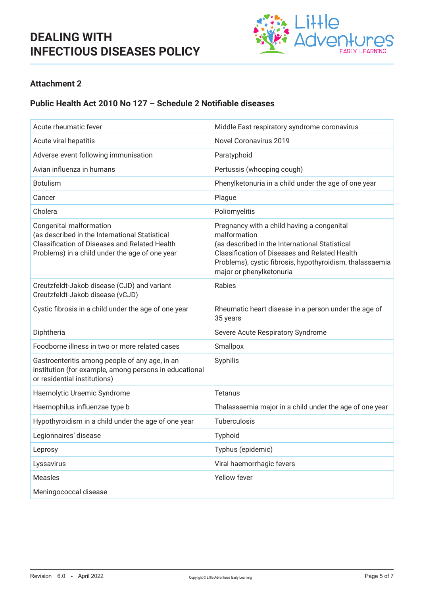

### **Attachment 2**

### **Public Health Act 2010 No 127 – Schedule 2 Notifiable diseases**

| Acute rheumatic fever                                                                                                                                                        | Middle East respiratory syndrome coronavirus                                                                                                                                                                                                          |
|------------------------------------------------------------------------------------------------------------------------------------------------------------------------------|-------------------------------------------------------------------------------------------------------------------------------------------------------------------------------------------------------------------------------------------------------|
| Acute viral hepatitis                                                                                                                                                        | Novel Coronavirus 2019                                                                                                                                                                                                                                |
| Adverse event following immunisation                                                                                                                                         | Paratyphoid                                                                                                                                                                                                                                           |
| Avian influenza in humans                                                                                                                                                    | Pertussis (whooping cough)                                                                                                                                                                                                                            |
| <b>Botulism</b>                                                                                                                                                              | Phenylketonuria in a child under the age of one year                                                                                                                                                                                                  |
| Cancer                                                                                                                                                                       | Plague                                                                                                                                                                                                                                                |
| Cholera                                                                                                                                                                      | Poliomyelitis                                                                                                                                                                                                                                         |
| Congenital malformation<br>(as described in the International Statistical<br>Classification of Diseases and Related Health<br>Problems) in a child under the age of one year | Pregnancy with a child having a congenital<br>malformation<br>(as described in the International Statistical<br>Classification of Diseases and Related Health<br>Problems), cystic fibrosis, hypothyroidism, thalassaemia<br>major or phenylketonuria |
| Creutzfeldt-Jakob disease (CJD) and variant<br>Creutzfeldt-Jakob disease (vCJD)                                                                                              | Rabies                                                                                                                                                                                                                                                |
| Cystic fibrosis in a child under the age of one year                                                                                                                         | Rheumatic heart disease in a person under the age of<br>35 years                                                                                                                                                                                      |
| Diphtheria                                                                                                                                                                   | Severe Acute Respiratory Syndrome                                                                                                                                                                                                                     |
| Foodborne illness in two or more related cases                                                                                                                               | Smallpox                                                                                                                                                                                                                                              |
| Gastroenteritis among people of any age, in an<br>institution (for example, among persons in educational<br>or residential institutions)                                     | Syphilis                                                                                                                                                                                                                                              |
| Haemolytic Uraemic Syndrome                                                                                                                                                  | <b>Tetanus</b>                                                                                                                                                                                                                                        |
| Haemophilus influenzae type b                                                                                                                                                | Thalassaemia major in a child under the age of one year                                                                                                                                                                                               |
| Hypothyroidism in a child under the age of one year                                                                                                                          | Tuberculosis                                                                                                                                                                                                                                          |
| Legionnaires' disease                                                                                                                                                        | <b>Typhoid</b>                                                                                                                                                                                                                                        |
| Leprosy                                                                                                                                                                      | Typhus (epidemic)                                                                                                                                                                                                                                     |
| Lyssavirus                                                                                                                                                                   | Viral haemorrhagic fevers                                                                                                                                                                                                                             |
| Measles                                                                                                                                                                      | Yellow fever                                                                                                                                                                                                                                          |
| Meningococcal disease                                                                                                                                                        |                                                                                                                                                                                                                                                       |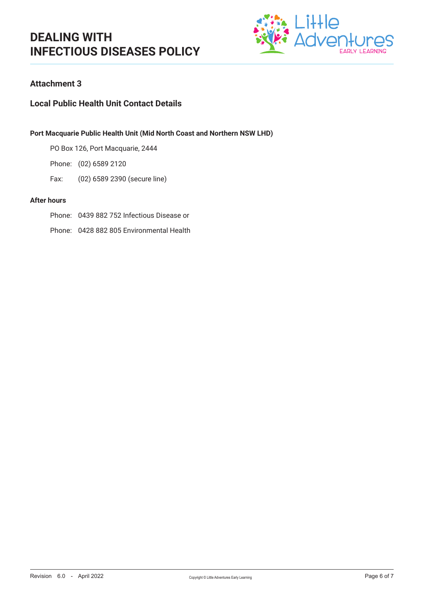

### **Attachment 3**

### **Local Public Health Unit Contact Details**

#### **Port Macquarie Public Health Unit (Mid North Coast and Northern NSW LHD)**

PO Box 126, Port Macquarie, 2444

Phone: (02) 6589 2120

Fax: (02) 6589 2390 (secure line)

#### **After hours**

- Phone: 0439 882 752 Infectious Disease or
- Phone: 0428 882 805 Environmental Health